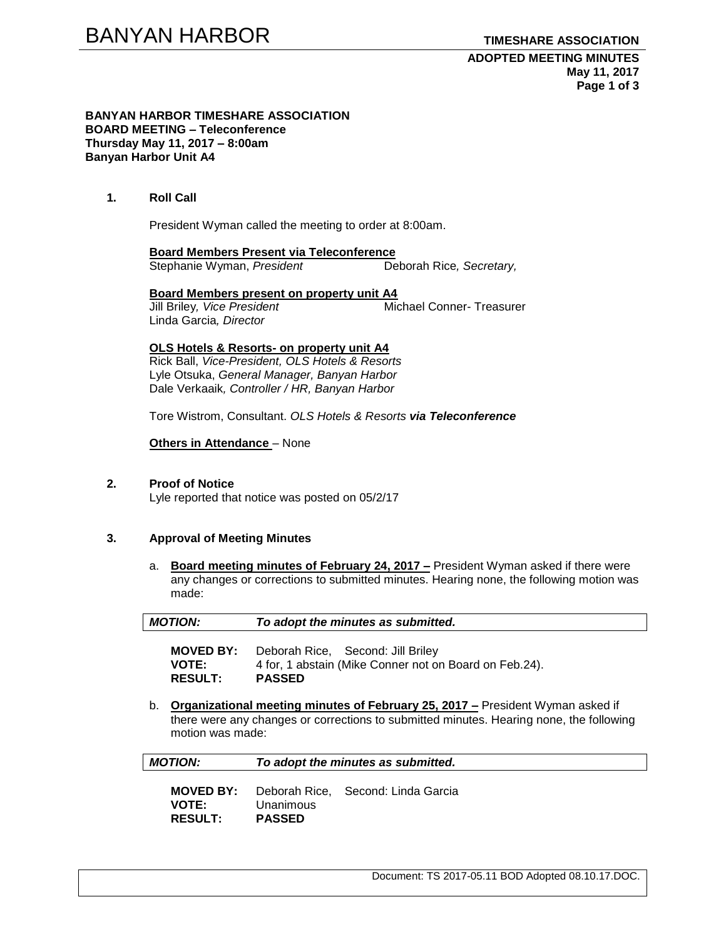#### **BANYAN HARBOR TIMESHARE ASSOCIATION BOARD MEETING – Teleconference Thursday May 11, 2017 – 8:00am Banyan Harbor Unit A4**

## **1. Roll Call**

President Wyman called the meeting to order at 8:00am.

**Board Members Present via Teleconference**

Stephanie Wyman, President **Deborah Rice**, Secretary,

**Board Members present on property unit A4**<br>Jill Briley, *Vice President* Michael Conner- Treasurer **Jill Briley, Vice President** Linda Garcia*, Director*

# **OLS Hotels & Resorts- on property unit A4**

Rick Ball, *Vice-President, OLS Hotels & Resorts* Lyle Otsuka, *General Manager, Banyan Harbor* Dale Verkaaik*, Controller / HR, Banyan Harbor*

Tore Wistrom, Consultant. *OLS Hotels & Resorts via Teleconference*

### **Others in Attendance** – None

# **2. Proof of Notice**

Lyle reported that notice was posted on 05/2/17

### **3. Approval of Meeting Minutes**

a. **Board meeting minutes of February 24, 2017 –** President Wyman asked if there were any changes or corrections to submitted minutes. Hearing none, the following motion was made:

| <b>MOTION:</b>                                                                                                                                                                                      | To adopt the minutes as submitted.                                                                           |
|-----------------------------------------------------------------------------------------------------------------------------------------------------------------------------------------------------|--------------------------------------------------------------------------------------------------------------|
| <b>MOVED BY:</b><br><b>VOTE:</b><br><b>RESULT:</b>                                                                                                                                                  | Deborah Rice, Second: Jill Briley<br>4 for, 1 abstain (Mike Conner not on Board on Feb.24).<br><b>PASSED</b> |
| Organizational meeting minutes of February 25, 2017 – President Wyman asked if<br>b.<br>there were any changes or corrections to submitted minutes. Hearing none, the following<br>motion was made: |                                                                                                              |
| <b>MOTION:</b>                                                                                                                                                                                      | To adopt the minutes as submitted.                                                                           |
|                                                                                                                                                                                                     |                                                                                                              |

| <b>MOVED BY:</b> |               | Deborah Rice, Second: Linda Garcia |
|------------------|---------------|------------------------------------|
| <b>VOTE:</b>     | Unanimous     |                                    |
| <b>RESULT:</b>   | <b>PASSED</b> |                                    |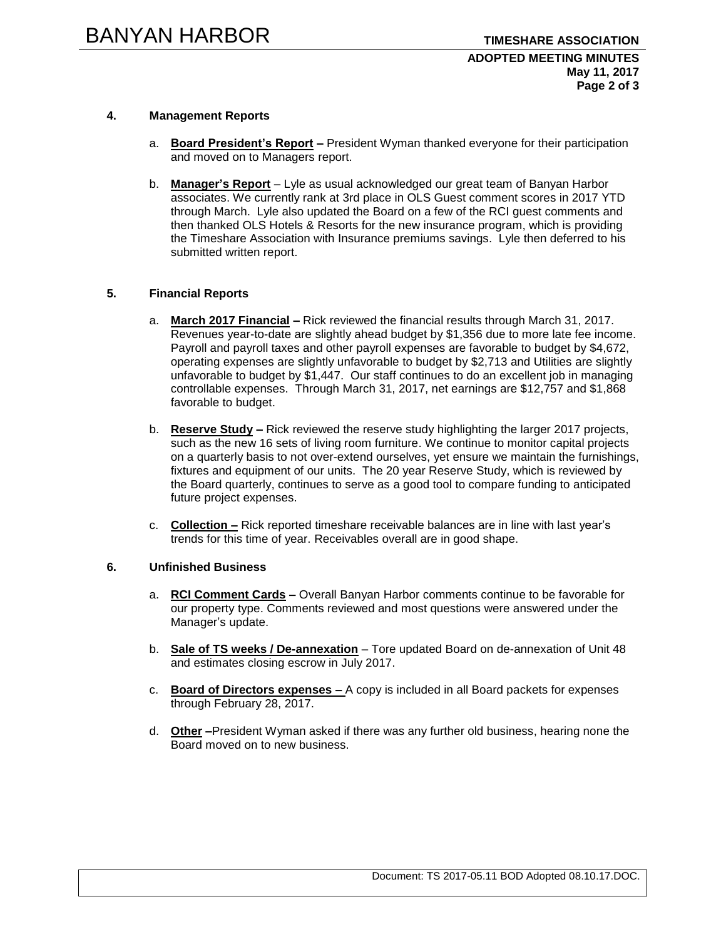# **4. Management Reports**

- a. **Board President's Report –** President Wyman thanked everyone for their participation and moved on to Managers report.
- b. **Manager's Report** Lyle as usual acknowledged our great team of Banyan Harbor associates. We currently rank at 3rd place in OLS Guest comment scores in 2017 YTD through March. Lyle also updated the Board on a few of the RCI guest comments and then thanked OLS Hotels & Resorts for the new insurance program, which is providing the Timeshare Association with Insurance premiums savings. Lyle then deferred to his submitted written report.

# **5. Financial Reports**

- a. **March 2017 Financial –** Rick reviewed the financial results through March 31, 2017. Revenues year-to-date are slightly ahead budget by \$1,356 due to more late fee income. Payroll and payroll taxes and other payroll expenses are favorable to budget by \$4,672, operating expenses are slightly unfavorable to budget by \$2,713 and Utilities are slightly unfavorable to budget by \$1,447. Our staff continues to do an excellent job in managing controllable expenses. Through March 31, 2017, net earnings are \$12,757 and \$1,868 favorable to budget.
- b. **Reserve Study –** Rick reviewed the reserve study highlighting the larger 2017 projects, such as the new 16 sets of living room furniture. We continue to monitor capital projects on a quarterly basis to not over-extend ourselves, yet ensure we maintain the furnishings, fixtures and equipment of our units. The 20 year Reserve Study, which is reviewed by the Board quarterly, continues to serve as a good tool to compare funding to anticipated future project expenses.
- c. **Collection –** Rick reported timeshare receivable balances are in line with last year's trends for this time of year. Receivables overall are in good shape.

## **6. Unfinished Business**

- a. **RCI Comment Cards –** Overall Banyan Harbor comments continue to be favorable for our property type. Comments reviewed and most questions were answered under the Manager's update.
- b. **Sale of TS weeks / De-annexation** Tore updated Board on de-annexation of Unit 48 and estimates closing escrow in July 2017.
- c. **Board of Directors expenses –** A copy is included in all Board packets for expenses through February 28, 2017.
- d. **Other –**President Wyman asked if there was any further old business, hearing none the Board moved on to new business.